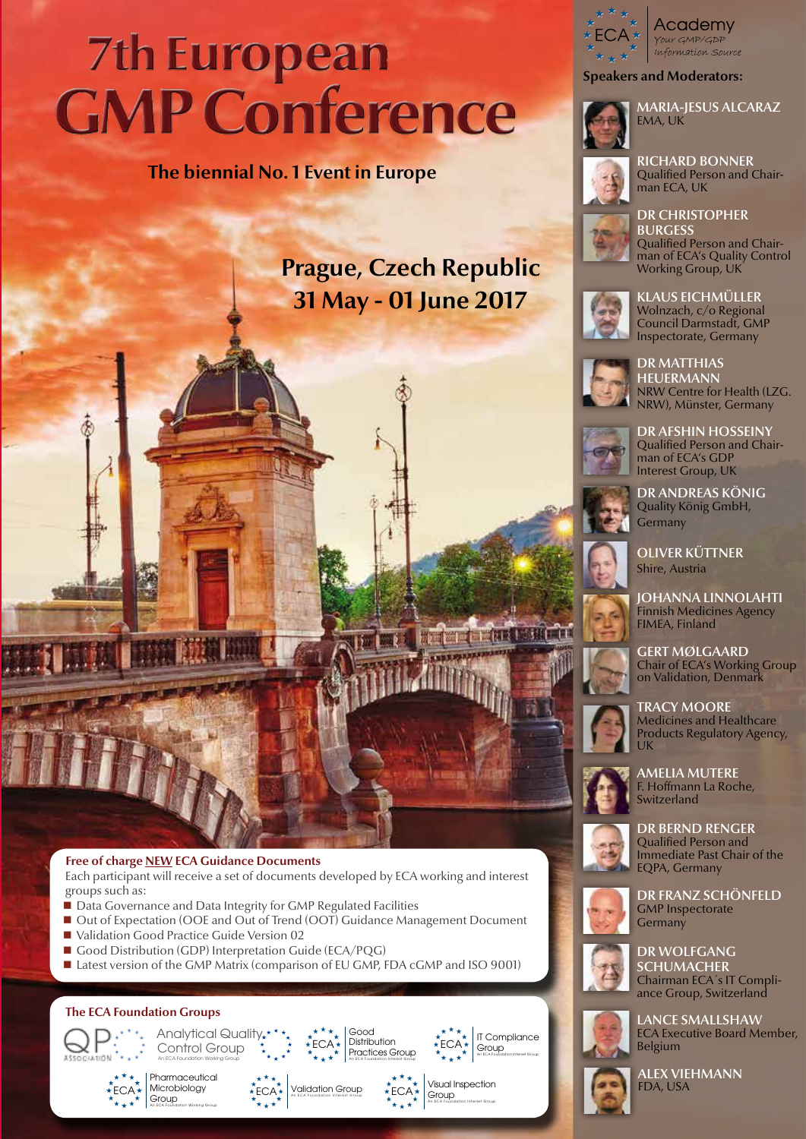# **7th European GMP Conference**

# **The biennial No. 1 Event in Europe**

# **Prague, Czech Republic 31 May - 01 June 2017**



Academy Your GMP/GDP information source

**Speakers and Moderators:**

man ECA, UK



RICHARD BONNER Qualified Person and Chair-

DR CHRISTOPHER **BURGESS** Qualified Person and Chairman of ECA's Quality Control Working Group, UK



KLAUS EICHMÜLLER Wolnzach, c/o Regional Council Darmstadt, GMP Inspectorate, Germany



DR MATTHIAS **HEUERMANN** NRW Centre for Health (LZG. NRW), Münster, Germany



DR AFSHIN HOSSEINY Qualified Person and Chairman of ECA's GDP Interest Group, UK

DR ANDREAS KÖNIG Quality König GmbH, **Germany** 



Shire, Austria

JOHANNA LINNOLAHTI Finnish Medicines Agency FIMEA, Finland

GERT MØLGAARD Chair of ECA's Working Group on Validation, Denmark



TRACY MOORE Medicines and Healthcare Products Regulatory Agency, UK



AMELIA MUTERE F. Hoffmann La Roche, Switzerland



DR BERND RENGER Qualified Person and Immediate Past Chair of the EQPA, Germany



DR FRANZ SCHÖNFELD GMP Inspectorate Germany



DR WOLFGANG SCHUMACHER Chairman ECA´s IT Compli-



LANCE SMALLSHAW ECA Executive Board Member, Belgium



ALEX VIEHMANN FDA, USA





#### **Free of charge NEW ECA Guidance Documents**

Each participant will receive a set of documents developed by ECA working and interest groups such as:

- Data Governance and Data Integrity for GMP Regulated Facilities
- Out of Expectation (OOE and Out of Trend (OOT) Guidance Management Document
- Validation Good Practice Guide Version 02
- Good Distribution (GDP) Interpretation Guide (ECA/PQG)

Analytical Qualit

■ Latest version of the GMP Matrix (comparison of EU GMP, FDA cGMP and ISO 9001)













Visual Inspection Group

ECA





ance Group, Switzerland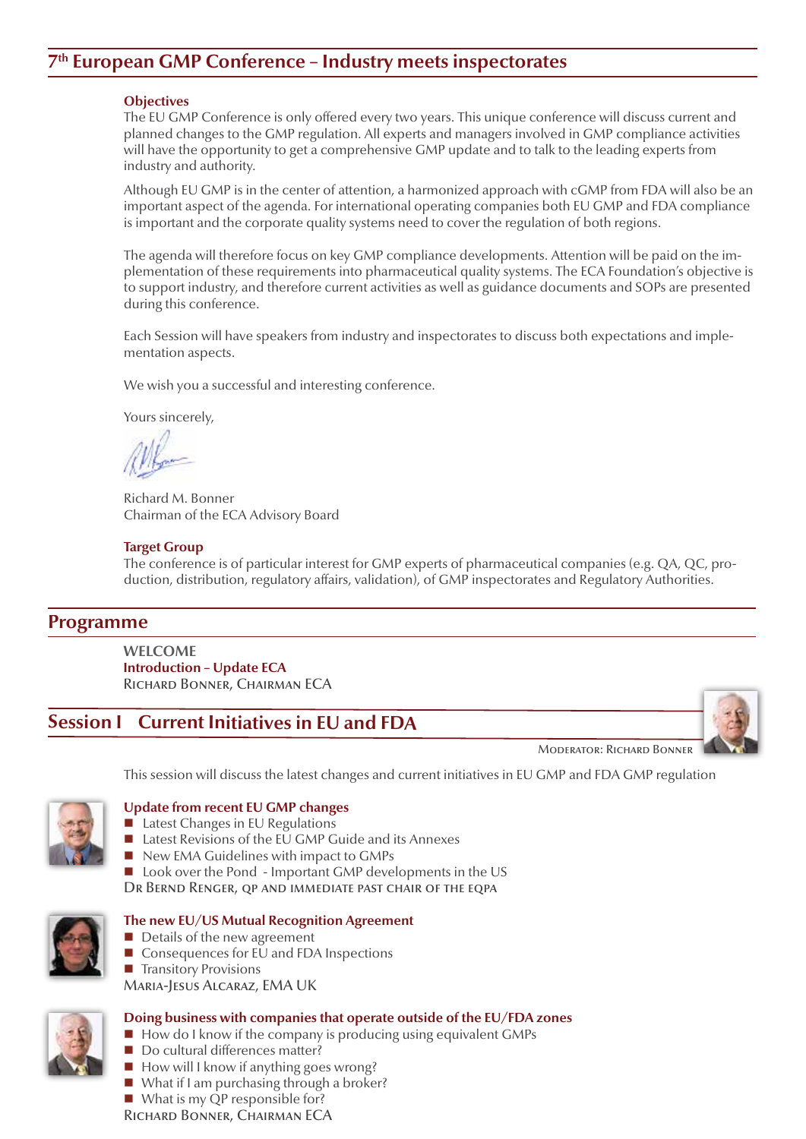# **7th European GMP Conference – Industry meets inspectorates**

#### **Objectives**

The EU GMP Conference is only offered every two years. This unique conference will discuss current and planned changes to the GMP regulation. All experts and managers involved in GMP compliance activities will have the opportunity to get a comprehensive GMP update and to talk to the leading experts from industry and authority.

Although EU GMP is in the center of attention, a harmonized approach with cGMP from FDA will also be an important aspect of the agenda. For international operating companies both EU GMP and FDA compliance is important and the corporate quality systems need to cover the regulation of both regions.

The agenda will therefore focus on key GMP compliance developments. Attention will be paid on the implementation of these requirements into pharmaceutical quality systems. The ECA Foundation's objective is to support industry, and therefore current activities as well as guidance documents and SOPs are presented during this conference.

Each Session will have speakers from industry and inspectorates to discuss both expectations and implementation aspects.

We wish you a successful and interesting conference.

Yours sincerely,

Richard M. Bonner Chairman of the ECA Advisory Board

#### **Target Group**

The conference is of particular interest for GMP experts of pharmaceutical companies (e.g. QA, QC, production, distribution, regulatory affairs, validation), of GMP inspectorates and Regulatory Authorities.

# **Programme**

**WELCOME Introduction – Update ECA** Richard Bonner, Chairman ECA

# **Session I Current Initiatives in EU and FDA**



Moderator: Richard Bonner

This session will discuss the latest changes and current initiatives in EU GMP and FDA GMP regulation



#### **Update from recent EU GMP changes**

- Latest Changes in EU Regulations
- Latest Revisions of the EU GMP Guide and its Annexes
- New EMA Guidelines with impact to GMPs
- Look over the Pond Important GMP developments in the US

DR BERND RENGER, QP AND IMMEDIATE PAST CHAIR OF THE EQPA



## **The new EU/US Mutual Recognition Agreement**

- Details of the new agreement
- $\blacksquare$  Consequences for EU and FDA Inspections
- $\blacksquare$  Transitory Provisions
- Maria-Jesus Alcaraz, EMA UK



#### **Doing business with companies that operate outside of the EU/FDA zones**

- $\blacksquare$  How do I know if the company is producing using equivalent GMPs
- Do cultural differences matter?
- $\blacksquare$  How will I know if anything goes wrong?
- What if I am purchasing through a broker?
- What is my QP responsible for?

Richard Bonner, Chairman ECA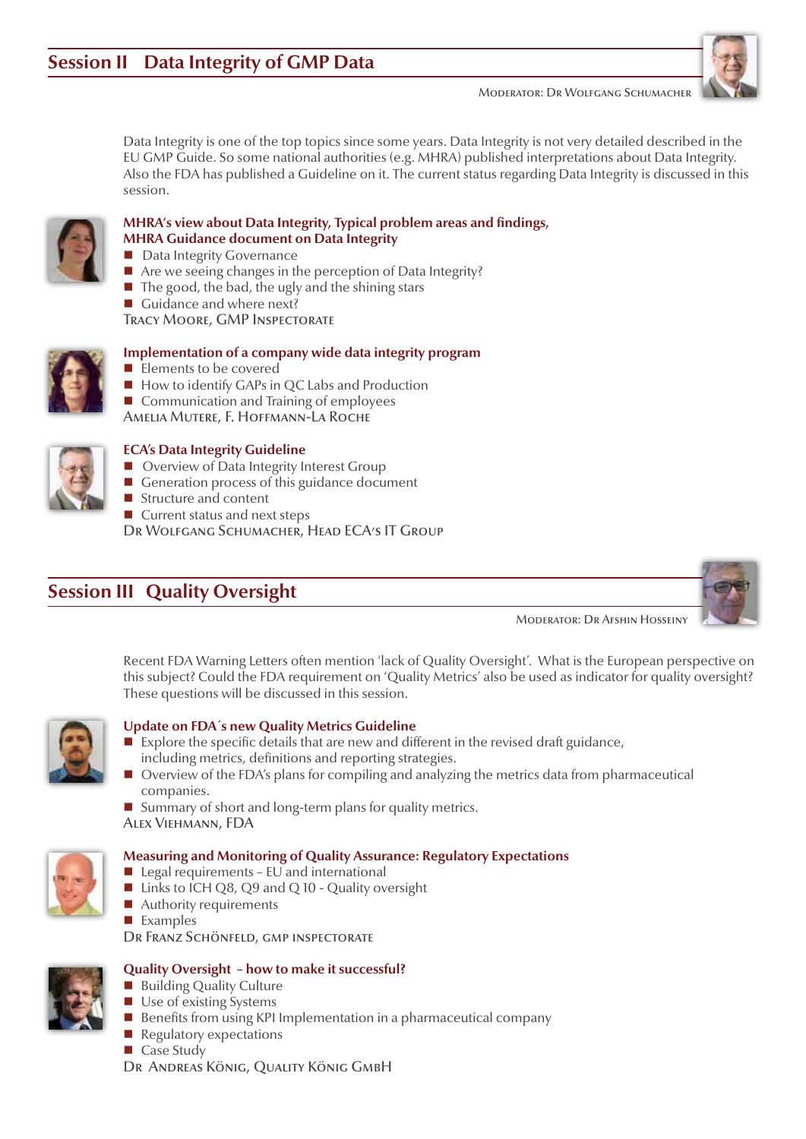Moderator: Dr Wolfgang Schumacher



Data Integrity is one of the top topics since some years. Data Integrity is not very detailed described in the EU GMP Guide. So some national authorities (e.g. MHRA) published interpretations about Data Integrity. Also the FDA has published a Guideline on it. The current status regarding Data Integrity is discussed in this session.



#### **MHRA's view about Data Integrity, Typical problem areas and findings, MHRA Guidance document on Data Integrity**

- Data Integrity Governance
- Are we seeing changes in the perception of Data Integrity?
- $\blacksquare$  The good, the bad, the ugly and the shining stars
- Guidance and where next?

Tracy Moore, GMP Inspectorate



# **Implementation of a company wide data integrity program**

- Elements to be covered
- How to identify GAPs in QC Labs and Production
- Communication and Training of employees

Amelia Mutere, F. Hoffmann-La Roche



# **ECA's Data Integrity Guideline**

- Overview of Data Integrity Interest Group
- Generation process of this guidance document
- Structure and content
- Current status and next steps

Dr Wolfgang Schumacher, Head ECA's IT Group

# **Session III Quality Oversight**

Moderator: Dr Afshin Hosseiny

Recent FDA Warning Letters often mention 'lack of Quality Oversight'. What is the European perspective on this subject? Could the FDA requirement on 'Quality Metrics' also be used as indicator for quality oversight? These questions will be discussed in this session.



## **Update on FDA´s new Quality Metrics Guideline**

- $\blacksquare$  Explore the specific details that are new and different in the revised draft guidance, including metrics, definitions and reporting strategies.
- Overview of the FDA's plans for compiling and analyzing the metrics data from pharmaceutical companies.

Summary of short and long-term plans for quality metrics.

Alex Viehmann, FDA



# **Measuring and Monitoring of Quality Assurance: Regulatory Expectations**

- $\blacksquare$  Legal requirements EU and international
- $\blacksquare$  Links to ICH Q8, Q9 and Q 10 Quality oversight
- Authority requirements
- **Examples**

DR FRANZ SCHÖNFELD, GMP INSPECTORATE

## **Quality Oversight – how to make it successful?**

- **Building Quality Culture**
- Use of existing Systems
- $\blacksquare$  Benefits from using KPI Implementation in a pharmaceutical company
- $\blacksquare$  Regulatory expectations
- Case Study

Dr Andreas König, Quality König GmbH

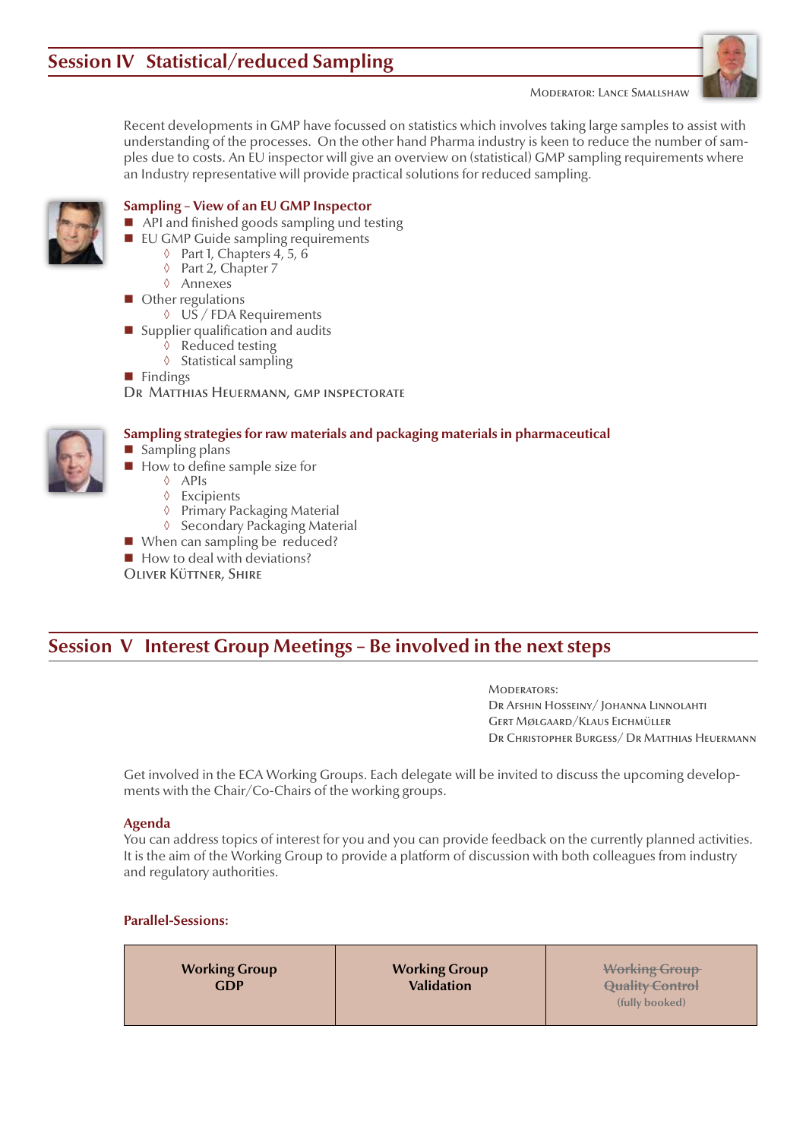Moderator: Lance Smallshaw



Recent developments in GMP have focussed on statistics which involves taking large samples to assist with understanding of the processes. On the other hand Pharma industry is keen to reduce the number of samples due to costs. An EU inspector will give an overview on (statistical) GMP sampling requirements where an Industry representative will provide practical solutions for reduced sampling.

#### **Sampling – View of an EU GMP Inspector**

- API and finished goods sampling und testing
- **EU GMP Guide sampling requirements** 
	- ◊ Part 1, Chapters 4, 5, 6
	- ◊ Part 2, Chapter 7
	- ◊ Annexes
- Other regulations
	- ◊ US / FDA Requirements
- Supplier qualification and audits
	- ◊ Reduced testing
	- ◊ Statistical sampling
- **Findings**

DR MATTHIAS HEUERMANN, GMP INSPECTORATE



- Sampling plans
- $\blacksquare$  How to define sample size for
	- ◊ APIs
	- ◊ Excipients
	- ◊ Primary Packaging Material ◊ Secondary Packaging Material
- When can sampling be reduced?
- $\blacksquare$  How to deal with deviations?

Oliver Küttner, Shire

# **Session V Interest Group Meetings – Be involved in the next steps**

**Sampling strategies for raw materials and packaging materials in pharmaceutical**

Moderators: Dr Afshin Hosseiny/ Johanna Linnolahti Gert Mølgaard/Klaus Eichmüller Dr Christopher Burgess/ Dr Matthias Heuermann

Get involved in the ECA Working Groups. Each delegate will be invited to discuss the upcoming developments with the Chair/Co-Chairs of the working groups.

#### **Agenda**

You can address topics of interest for you and you can provide feedback on the currently planned activities. It is the aim of the Working Group to provide a platform of discussion with both colleagues from industry and regulatory authorities.

**Parallel-Sessions:**

**Working Group Validation**

**Working Group Quality Control (fully booked)**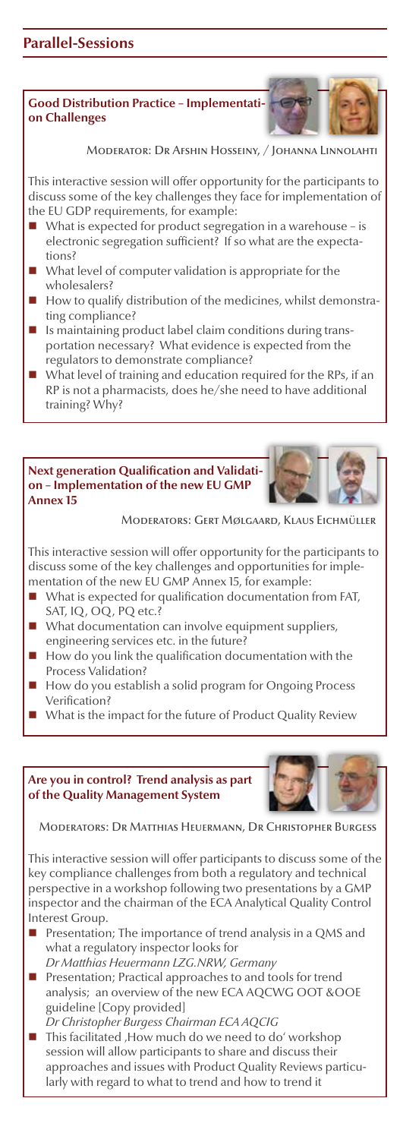#### **Good Distribution Practice – Implementation Challenges**

Moderator: Dr Afshin Hosseiny, / Johanna Linnol

This interactive session will offer opportunity for the participants to discuss some of the key challenges they face for implementation of the EU GDP requirements, for example:

- What is expected for product segregation in a warehouse is electronic segregation sufficient? If so what are the expectations?
- What level of computer validation is appropriate for the wholesalers?
- How to qualify distribution of the medicines, whilst demonstrating compliance?
- Is maintaining product label claim conditions during transportation necessary? What evidence is expected from the regulators to demonstrate compliance?
- What level of training and education required for the RPs, if an RP is not a pharmacists, does he/she need to have additional training? Why?

#### **Next generation Qualification and Validation – Implementation of the new EU GMP Annex 15**

Moderators: Gert Mølgaard, Klaus Eichmüller

This interactive session will offer opportunity for the participants to discuss some of the key challenges and opportunities for implementation of the new EU GMP Annex 15, for example:

- What is expected for qualification documentation from FAT, SAT, IQ, OQ, PQ etc.?
- What documentation can involve equipment suppliers, engineering services etc. in the future?
- How do you link the qualification documentation with the Process Validation?
- How do you establish a solid program for Ongoing Process Verification?
- What is the impact for the future of Product Quality Review

**Are you in control? Trend analysis as part of the Quality Management System**



Moderators: Dr Matthias Heuermann, Dr Christopher Burgess

This interactive session will offer participants to discuss some of the key compliance challenges from both a regulatory and technical perspective in a workshop following two presentations by a GMP inspector and the chairman of the ECA Analytical Quality Control Interest Group.

- **Presentation; The importance of trend analysis in a QMS and** what a regulatory inspector looks for *Dr Matthias Heuermann LZG.NRW, Germany*
- **Presentation; Practical approaches to and tools for trend** analysis; an overview of the new ECA AQCWG OOT &OOE guideline [Copy provided]
- *Dr Christopher Burgess Chairman ECA AQCIG* This facilitated , How much do we need to do' workshop session will allow participants to share and discuss their approaches and issues with Product Quality Reviews particularly with regard to what to trend and how to trend it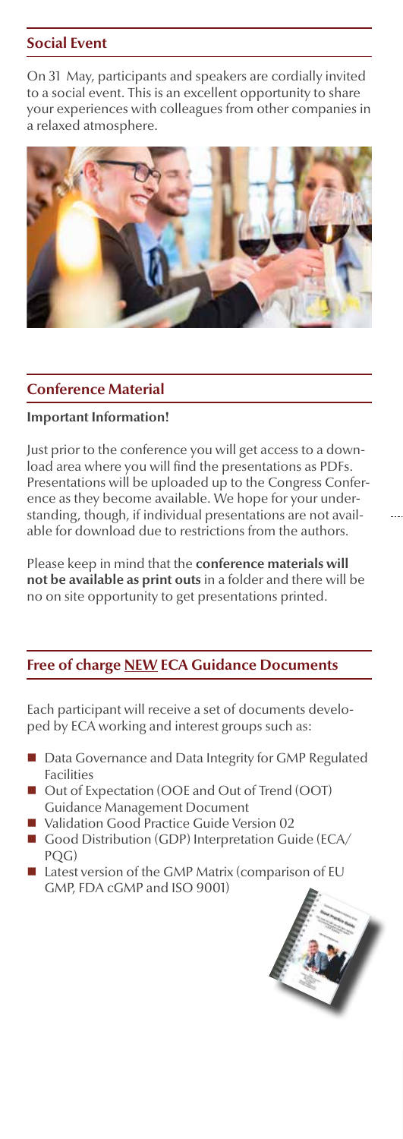# **Social Event**

On 31 May, participants and speakers are cordially invited to a social event. This is an excellent opportunity to share your experiences with colleagues from other companies in a relaxed atmosphere.



# **Conference Material**

#### **Important Information!**

Just prior to the conference you will get access to a download area where you will find the presentations as PDFs. Presentations will be uploaded up to the Congress Conference as they become available. We hope for your understanding, though, if individual presentations are not available for download due to restrictions from the authors.

Please keep in mind that the **conference materials will not be available as print outs** in a folder and there will be no on site opportunity to get presentations printed.

# **Free of charge NEW ECA Guidance Documents**

Each participant will receive a set of documents developed by ECA working and interest groups such as:

- Data Governance and Data Integrity for GMP Regulated Facilities
- Out of Expectation (OOE and Out of Trend (OOT) Guidance Management Document
- Validation Good Practice Guide Version 02
- Good Distribution (GDP) Interpretation Guide (ECA/ POG)
- Latest version of the GMP Matrix (comparison of EU GMP, FDA cGMP and ISO 9001)

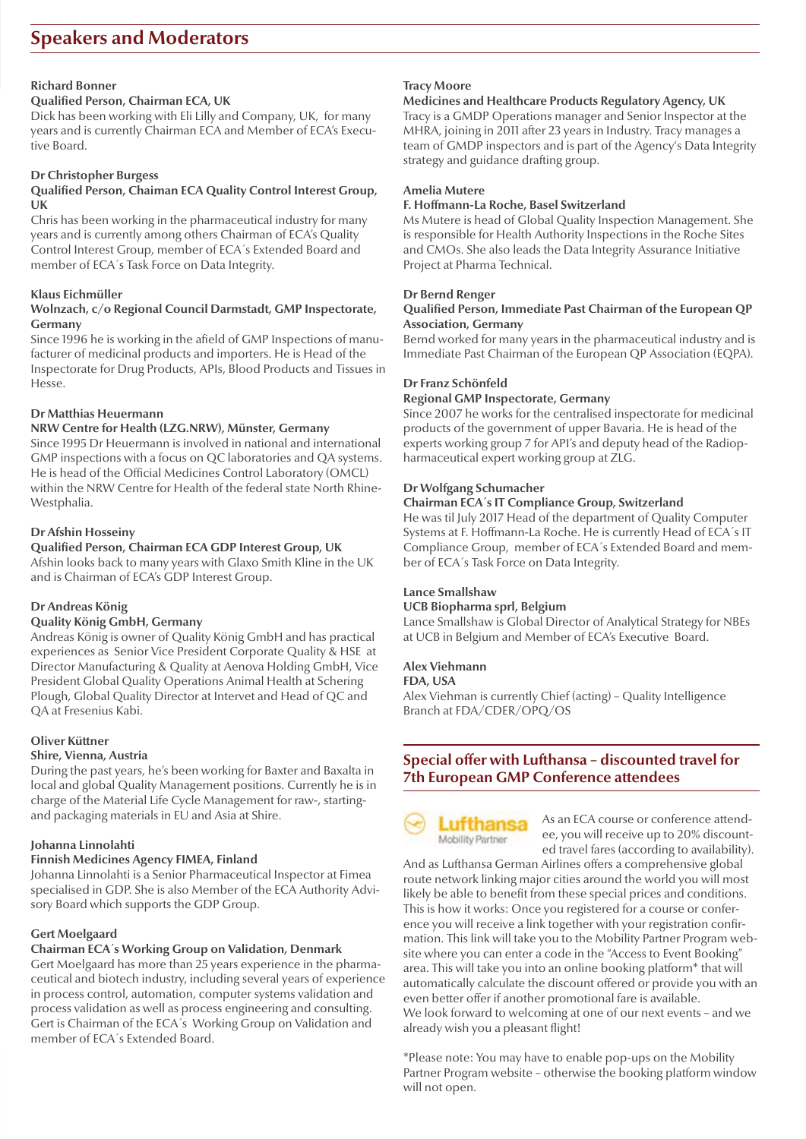# **Speakers and Moderators**

#### **Richard Bonner**

#### **Qualified Person, Chairman ECA, UK**

Dick has been working with Eli Lilly and Company, UK, for many years and is currently Chairman ECA and Member of ECA's Executive Board.

#### **Dr Christopher Burgess**

#### **Qualified Person, Chaiman ECA Quality Control Interest Group, UK**

Chris has been working in the pharmaceutical industry for many years and is currently among others Chairman of ECA's Quality Control Interest Group, member of ECA´s Extended Board and member of ECA´s Task Force on Data Integrity.

#### **Klaus Eichmüller**

#### **Wolnzach, c/o Regional Council Darmstadt, GMP Inspectorate, Germany**

Since 1996 he is working in the afield of GMP Inspections of manufacturer of medicinal products and importers. He is Head of the Inspectorate for Drug Products, APIs, Blood Products and Tissues in Hesse.

#### **Dr Matthias Heuermann**

#### **NRW Centre for Health (LZG.NRW), Münster, Germany**

Since 1995 Dr Heuermann is involved in national and international GMP inspections with a focus on QC laboratories and QA systems. He is head of the Official Medicines Control Laboratory (OMCL) within the NRW Centre for Health of the federal state North Rhine-Westphalia.

#### **Dr Afshin Hosseiny**

# **Qualified Person, Chairman ECA GDP Interest Group, UK**

Afshin looks back to many years with Glaxo Smith Kline in the UK and is Chairman of ECA's GDP Interest Group.

#### **Dr Andreas König**

#### **Quality König GmbH, Germany**

Andreas König is owner of Quality König GmbH and has practical experiences as Senior Vice President Corporate Quality & HSE at Director Manufacturing & Quality at Aenova Holding GmbH, Vice President Global Quality Operations Animal Health at Schering Plough, Global Quality Director at Intervet and Head of QC and QA at Fresenius Kabi.

#### **Oliver Küttner**

#### **Shire, Vienna, Austria**

During the past years, he's been working for Baxter and Baxalta in local and global Quality Management positions. Currently he is in charge of the Material Life Cycle Management for raw-, startingand packaging materials in EU and Asia at Shire.

#### **Johanna Linnolahti**

#### **Finnish Medicines Agency FIMEA, Finland**

Johanna Linnolahti is a Senior Pharmaceutical Inspector at Fimea specialised in GDP. She is also Member of the ECA Authority Advisory Board which supports the GDP Group.

#### **Gert Moelgaard**

#### **Chairman ECA´s Working Group on Validation, Denmark**

Gert Moelgaard has more than 25 years experience in the pharmaceutical and biotech industry, including several years of experience in process control, automation, computer systems validation and process validation as well as process engineering and consulting. Gert is Chairman of the ECA´s Working Group on Validation and member of ECA´s Extended Board.

#### **Tracy Moore**

#### **Medicines and Healthcare Products Regulatory Agency, UK** Tracy is a GMDP Operations manager and Senior Inspector at the MHRA, joining in 2011 after 23 years in Industry. Tracy manages a team of GMDP inspectors and is part of the Agency's Data Integrity strategy and guidance drafting group.

#### **Amelia Mutere**

#### **F. Hoffmann-La Roche, Basel Switzerland**

Ms Mutere is head of Global Quality Inspection Management. She is responsible for Health Authority Inspections in the Roche Sites and CMOs. She also leads the Data Integrity Assurance Initiative Project at Pharma Technical.

#### **Dr Bernd Renger**

#### **Qualified Person, Immediate Past Chairman of the European QP Association, Germany**

Bernd worked for many years in the pharmaceutical industry and is Immediate Past Chairman of the European QP Association (EQPA).

#### **Dr Franz Schönfeld**

#### **Regional GMP Inspectorate, Germany**

Since 2007 he works for the centralised inspectorate for medicinal products of the government of upper Bavaria. He is head of the experts working group 7 for API's and deputy head of the Radiopharmaceutical expert working group at ZLG.

#### **Dr Wolfgang Schumacher**

#### **Chairman ECA´s IT Compliance Group, Switzerland**

He was til July 2017 Head of the department of Quality Computer Systems at F. Hoffmann-La Roche. He is currently Head of ECA´s IT Compliance Group, member of ECA´s Extended Board and member of ECA´s Task Force on Data Integrity.

#### **Lance Smallshaw**

#### **UCB Biopharma sprl, Belgium**

Lance Smallshaw is Global Director of Analytical Strategy for NBEs at UCB in Belgium and Member of ECA's Executive Board.

#### **Alex Viehmann**

#### **FDA, USA**

Alex Viehman is currently Chief (acting) – Quality Intelligence Branch at FDA/CDER/OPQ/OS

## **Special offer with Lufthansa – discounted travel for 7th European GMP Conference attendees**



As an ECA course or conference attendee, you will receive up to 20% discounted travel fares (according to availability).

And as Lufthansa German Airlines offers a comprehensive global route network linking major cities around the world you will most likely be able to benefit from these special prices and conditions. This is how it works: Once you registered for a course or conference you will receive a link together with your registration confirmation. This link will take you to the Mobility Partner Program website where you can enter a code in the "Access to Event Booking" area. This will take you into an online booking platform\* that will automatically calculate the discount offered or provide you with an even better offer if another promotional fare is available. We look forward to welcoming at one of our next events – and we already wish you a pleasant flight!

\*Please note: You may have to enable pop-ups on the Mobility Partner Program website – otherwise the booking platform window will not open.